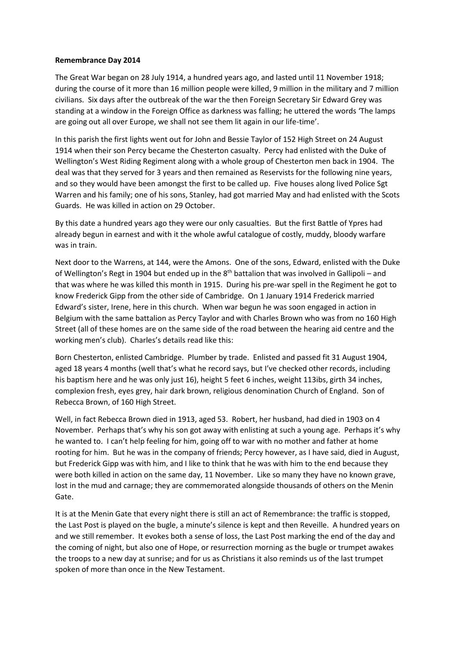## **Remembrance Day 2014**

The Great War began on 28 July 1914, a hundred years ago, and lasted until 11 November 1918; during the course of it more than 16 million people were killed, 9 million in the military and 7 million civilians. Six days after the outbreak of the war the then Foreign Secretary Sir Edward Grey was standing at a window in the Foreign Office as darkness was falling; he uttered the words 'The lamps are going out all over Europe, we shall not see them lit again in our life-time'.

In this parish the first lights went out for John and Bessie Taylor of 152 High Street on 24 August 1914 when their son Percy became the Chesterton casualty. Percy had enlisted with the Duke of Wellington's West Riding Regiment along with a whole group of Chesterton men back in 1904. The deal was that they served for 3 years and then remained as Reservists for the following nine years, and so they would have been amongst the first to be called up. Five houses along lived Police Sgt Warren and his family; one of his sons, Stanley, had got married May and had enlisted with the Scots Guards. He was killed in action on 29 October.

By this date a hundred years ago they were our only casualties. But the first Battle of Ypres had already begun in earnest and with it the whole awful catalogue of costly, muddy, bloody warfare was in train.

Next door to the Warrens, at 144, were the Amons. One of the sons, Edward, enlisted with the Duke of Wellington's Regt in 1904 but ended up in the  $8<sup>th</sup>$  battalion that was involved in Gallipoli – and that was where he was killed this month in 1915. During his pre-war spell in the Regiment he got to know Frederick Gipp from the other side of Cambridge. On 1 January 1914 Frederick married Edward's sister, Irene, here in this church. When war begun he was soon engaged in action in Belgium with the same battalion as Percy Taylor and with Charles Brown who was from no 160 High Street (all of these homes are on the same side of the road between the hearing aid centre and the working men's club). Charles's details read like this:

Born Chesterton, enlisted Cambridge. Plumber by trade. Enlisted and passed fit 31 August 1904, aged 18 years 4 months (well that's what he record says, but I've checked other records, including his baptism here and he was only just 16), height 5 feet 6 inches, weight 113ibs, girth 34 inches, complexion fresh, eyes grey, hair dark brown, religious denomination Church of England. Son of Rebecca Brown, of 160 High Street.

Well, in fact Rebecca Brown died in 1913, aged 53. Robert, her husband, had died in 1903 on 4 November. Perhaps that's why his son got away with enlisting at such a young age. Perhaps it's why he wanted to. I can't help feeling for him, going off to war with no mother and father at home rooting for him. But he was in the company of friends; Percy however, as I have said, died in August, but Frederick Gipp was with him, and I like to think that he was with him to the end because they were both killed in action on the same day, 11 November. Like so many they have no known grave, lost in the mud and carnage; they are commemorated alongside thousands of others on the Menin Gate.

It is at the Menin Gate that every night there is still an act of Remembrance: the traffic is stopped, the Last Post is played on the bugle, a minute's silence is kept and then Reveille. A hundred years on and we still remember. It evokes both a sense of loss, the Last Post marking the end of the day and the coming of night, but also one of Hope, or resurrection morning as the bugle or trumpet awakes the troops to a new day at sunrise; and for us as Christians it also reminds us of the last trumpet spoken of more than once in the New Testament.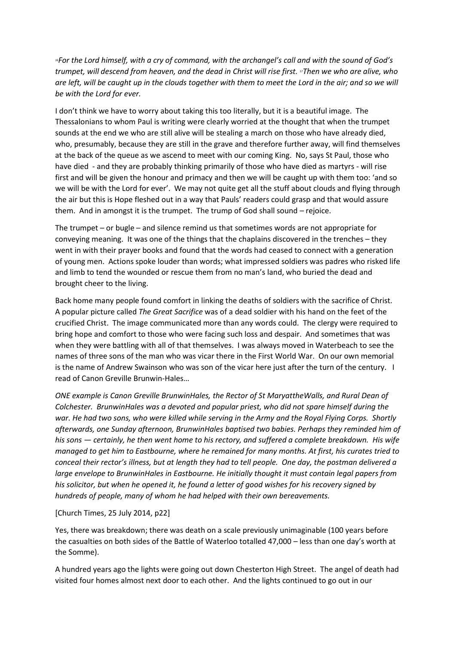*<sup>16</sup>For the Lord himself, with a cry of command, with the archangel's call and with the sound of God's trumpet, will descend from heaven, and the dead in Christ will rise first. 17Then we who are alive, who are left, will be caught up in the clouds together with them to meet the Lord in the air; and so we will be with the Lord for ever.* 

I don't think we have to worry about taking this too literally, but it is a beautiful image. The Thessalonians to whom Paul is writing were clearly worried at the thought that when the trumpet sounds at the end we who are still alive will be stealing a march on those who have already died, who, presumably, because they are still in the grave and therefore further away, will find themselves at the back of the queue as we ascend to meet with our coming King. No, says St Paul, those who have died - and they are probably thinking primarily of those who have died as martyrs - will rise first and will be given the honour and primacy and then we will be caught up with them too: 'and so we will be with the Lord for ever'. We may not quite get all the stuff about clouds and flying through the air but this is Hope fleshed out in a way that Pauls' readers could grasp and that would assure them. And in amongst it is the trumpet. The trump of God shall sound – rejoice.

The trumpet – or bugle – and silence remind us that sometimes words are not appropriate for conveying meaning. It was one of the things that the chaplains discovered in the trenches – they went in with their prayer books and found that the words had ceased to connect with a generation of young men. Actions spoke louder than words; what impressed soldiers was padres who risked life and limb to tend the wounded or rescue them from no man's land, who buried the dead and brought cheer to the living.

Back home many people found comfort in linking the deaths of soldiers with the sacrifice of Christ. A popular picture called *The Great Sacrifice* was of a dead soldier with his hand on the feet of the crucified Christ. The image communicated more than any words could. The clergy were required to bring hope and comfort to those who were facing such loss and despair. And sometimes that was when they were battling with all of that themselves. I was always moved in Waterbeach to see the names of three sons of the man who was vicar there in the First World War. On our own memorial is the name of Andrew Swainson who was son of the vicar here just after the turn of the century. I read of Canon Greville Brunwin-Hales…

*ONE example is Canon Greville BrunwinHales, the Rector of St MaryattheWalls, and Rural Dean of Colchester. BrunwinHales was a devoted and popular priest, who did not spare himself during the war. He had two sons, who were killed while serving in the Army and the Royal Flying Corps. Shortly afterwards, one Sunday afternoon, BrunwinHales baptised two babies. Perhaps they reminded him of his sons — certainly, he then went home to his rectory, and suffered a complete breakdown. His wife managed to get him to Eastbourne, where he remained for many months. At first, his curates tried to conceal their rector's illness, but at length they had to tell people. One day, the postman delivered a large envelope to BrunwinHales in Eastbourne. He initially thought it must contain legal papers from his solicitor, but when he opened it, he found a letter of good wishes for his recovery signed by hundreds of people, many of whom he had helped with their own bereavements.*

[Church Times, 25 July 2014, p22]

Yes, there was breakdown; there was death on a scale previously unimaginable (100 years before the casualties on both sides of the Battle of Waterloo totalled 47,000 – less than one day's worth at the Somme).

A hundred years ago the lights were going out down Chesterton High Street. The angel of death had visited four homes almost next door to each other. And the lights continued to go out in our